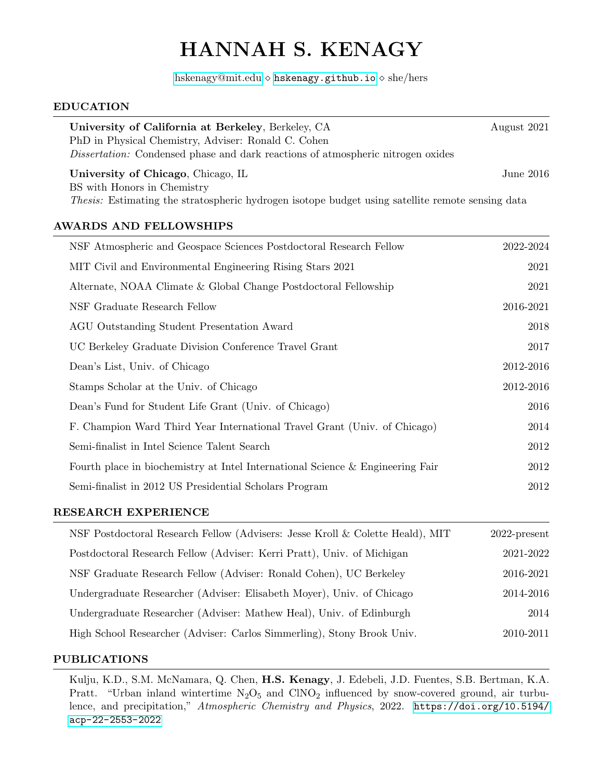# HANNAH S. KENAGY

[hskenagy@mit.edu](mailto:hskenagy@mit.edu)  $\diamond$  <hskenagy.github.io>  $\diamond$  she/hers

#### EDUCATION

| University of California at Berkeley, Berkeley, CA<br>PhD in Physical Chemistry, Adviser: Ronald C. Cohen<br><i>Dissertation:</i> Condensed phase and dark reactions of atmospheric nitrogen oxides | August 2021 |  |  |  |
|-----------------------------------------------------------------------------------------------------------------------------------------------------------------------------------------------------|-------------|--|--|--|
| University of Chicago, Chicago, IL<br>BS with Honors in Chemistry<br><i>Thesis:</i> Estimating the stratospheric hydrogen isotope budget using satellite remote sensing data                        | June 2016.  |  |  |  |
| AWARDS AND FELLOWSHIPS                                                                                                                                                                              |             |  |  |  |
| NSF Atmospheric and Geospace Sciences Postdoctoral Research Fellow                                                                                                                                  | 2022-2024   |  |  |  |
| MIT Civil and Environmental Engineering Rising Stars 2021                                                                                                                                           | 2021        |  |  |  |
| Alternate, NOAA Climate & Global Change Postdoctoral Fellowship                                                                                                                                     | 2021        |  |  |  |
| NSF Graduate Research Fellow                                                                                                                                                                        | 2016-2021   |  |  |  |

| AGU Outstanding Student Presentation Award                                     | 2018      |
|--------------------------------------------------------------------------------|-----------|
| UC Berkeley Graduate Division Conference Travel Grant                          | 2017      |
| Dean's List, Univ. of Chicago                                                  | 2012-2016 |
| Stamps Scholar at the Univ. of Chicago                                         | 2012-2016 |
| Dean's Fund for Student Life Grant (Univ. of Chicago)                          | 2016      |
| F. Champion Ward Third Year International Travel Grant (Univ. of Chicago)      | 2014      |
| Semi-finalist in Intel Science Talent Search                                   | 2012      |
| Fourth place in biochemistry at Intel International Science & Engineering Fair | 2012      |
| Semi-finalist in 2012 US Presidential Scholars Program                         | 2012      |

#### RESEARCH EXPERIENCE

| NSF Postdoctoral Research Fellow (Advisers: Jesse Kroll & Colette Heald), MIT | $2022$ -present |
|-------------------------------------------------------------------------------|-----------------|
| Postdoctoral Research Fellow (Adviser: Kerri Pratt), Univ. of Michigan        | 2021-2022       |
| NSF Graduate Research Fellow (Adviser: Ronald Cohen), UC Berkeley             | 2016-2021       |
| Undergraduate Researcher (Adviser: Elisabeth Moyer), Univ. of Chicago         | 2014-2016       |
| Undergraduate Researcher (Adviser: Mathew Heal), Univ. of Edinburgh           | 2014            |
| High School Researcher (Adviser: Carlos Simmerling), Stony Brook Univ.        | 2010-2011       |

## PUBLICATIONS

Kulju, K.D., S.M. McNamara, Q. Chen, H.S. Kenagy, J. Edebeli, J.D. Fuentes, S.B. Bertman, K.A. Pratt. "Urban inland wintertime  $N_2O_5$  and  $CINO_2$  influenced by snow-covered ground, air turbulence, and precipitation," Atmospheric Chemistry and Physics, 2022. [https://doi.org/10.5194/](https://doi.org/10.5194/acp-22-2553-2022) [acp-22-2553-2022](https://doi.org/10.5194/acp-22-2553-2022)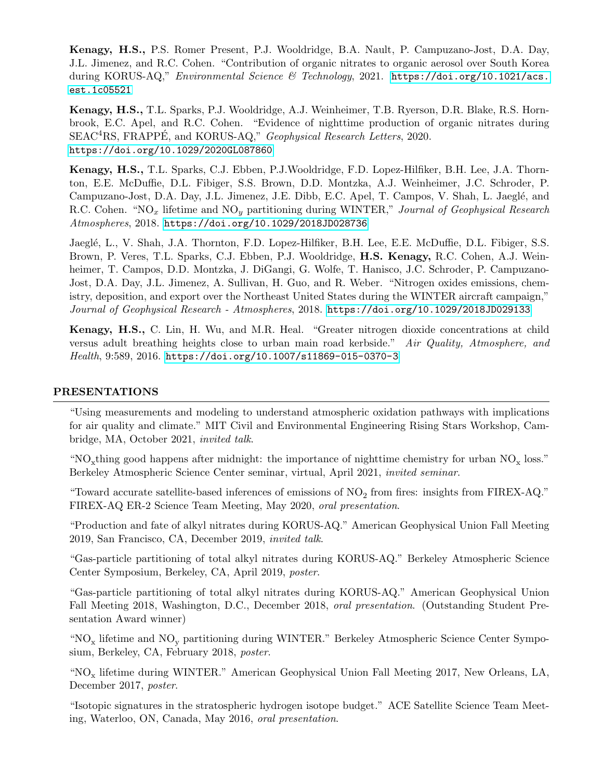Kenagy, H.S., P.S. Romer Present, P.J. Wooldridge, B.A. Nault, P. Campuzano-Jost, D.A. Day, J.L. Jimenez, and R.C. Cohen. "Contribution of organic nitrates to organic aerosol over South Korea during KORUS-AQ," Environmental Science & Technology, 2021. [https://doi.org/10.1021/acs.](https://doi.org/10.1021/acs.est.1c05521) [est.1c05521](https://doi.org/10.1021/acs.est.1c05521)

Kenagy, H.S., T.L. Sparks, P.J. Wooldridge, A.J. Weinheimer, T.B. Ryerson, D.R. Blake, R.S. Hornbrook, E.C. Apel, and R.C. Cohen. "Evidence of nighttime production of organic nitrates during SEAC<sup>4</sup>RS, FRAPPÉ, and KORUS-AQ," *Geophysical Research Letters*, 2020. <https://doi.org/10.1029/2020GL087860>

Kenagy, H.S., T.L. Sparks, C.J. Ebben, P.J.Wooldridge, F.D. Lopez-Hilfiker, B.H. Lee, J.A. Thornton, E.E. McDuffie, D.L. Fibiger, S.S. Brown, D.D. Montzka, A.J. Weinheimer, J.C. Schroder, P. Campuzano-Jost, D.A. Day, J.L. Jimenez, J.E. Dibb, E.C. Apel, T. Campos, V. Shah, L. Jaeglé, and R.C. Cohen. "NO<sub>x</sub> lifetime and NO<sub>y</sub> partitioning during WINTER," Journal of Geophysical Research Atmospheres, 2018. <https://doi.org/10.1029/2018JD028736>

Jaeglé, L., V. Shah, J.A. Thornton, F.D. Lopez-Hilfiker, B.H. Lee, E.E. McDuffie, D.L. Fibiger, S.S. Brown, P. Veres, T.L. Sparks, C.J. Ebben, P.J. Wooldridge, H.S. Kenagy, R.C. Cohen, A.J. Weinheimer, T. Campos, D.D. Montzka, J. DiGangi, G. Wolfe, T. Hanisco, J.C. Schroder, P. Campuzano-Jost, D.A. Day, J.L. Jimenez, A. Sullivan, H. Guo, and R. Weber. "Nitrogen oxides emissions, chemistry, deposition, and export over the Northeast United States during the WINTER aircraft campaign," Journal of Geophysical Research - Atmospheres, 2018. <https://doi.org/10.1029/2018JD029133>

Kenagy, H.S., C. Lin, H. Wu, and M.R. Heal. "Greater nitrogen dioxide concentrations at child versus adult breathing heights close to urban main road kerbside." Air Quality, Atmosphere, and Health, 9:589, 2016. <https://doi.org/10.1007/s11869-015-0370-3>

#### PRESENTATIONS

"Using measurements and modeling to understand atmospheric oxidation pathways with implications for air quality and climate." MIT Civil and Environmental Engineering Rising Stars Workshop, Cambridge, MA, October 2021, invited talk.

"NO<sub>x</sub>thing good happens after midnight: the importance of nighttime chemistry for urban  $NO_x$  loss." Berkeley Atmospheric Science Center seminar, virtual, April 2021, invited seminar.

"Toward accurate satellite-based inferences of emissions of  $NO<sub>2</sub>$  from fires: insights from FIREX-AQ." FIREX-AQ ER-2 Science Team Meeting, May 2020, oral presentation.

"Production and fate of alkyl nitrates during KORUS-AQ." American Geophysical Union Fall Meeting 2019, San Francisco, CA, December 2019, invited talk.

"Gas-particle partitioning of total alkyl nitrates during KORUS-AQ." Berkeley Atmospheric Science Center Symposium, Berkeley, CA, April 2019, poster.

"Gas-particle partitioning of total alkyl nitrates during KORUS-AQ." American Geophysical Union Fall Meeting 2018, Washington, D.C., December 2018, oral presentation. (Outstanding Student Presentation Award winner)

"NO<sub>x</sub> lifetime and NO<sub>y</sub> partitioning during WINTER." Berkeley Atmospheric Science Center Symposium, Berkeley, CA, February 2018, poster.

"NO<sup>x</sup> lifetime during WINTER." American Geophysical Union Fall Meeting 2017, New Orleans, LA, December 2017, poster.

"Isotopic signatures in the stratospheric hydrogen isotope budget." ACE Satellite Science Team Meeting, Waterloo, ON, Canada, May 2016, oral presentation.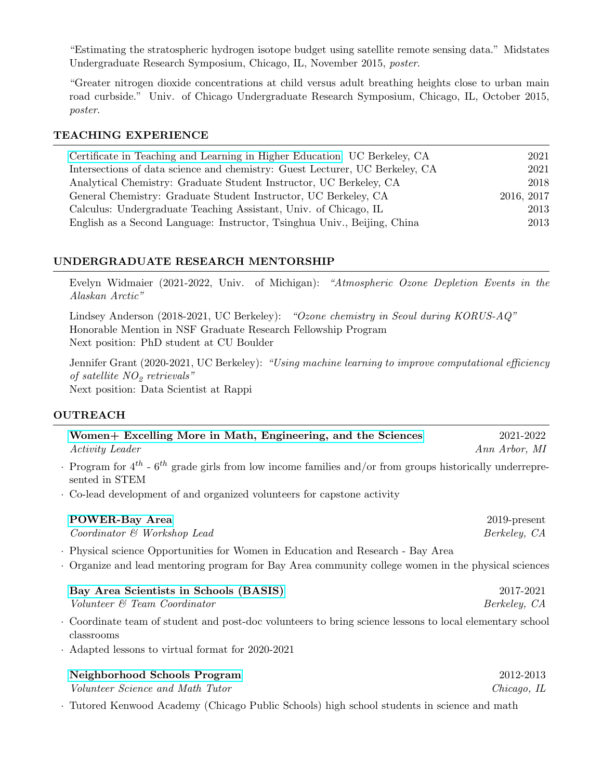"Estimating the stratospheric hydrogen isotope budget using satellite remote sensing data." Midstates Undergraduate Research Symposium, Chicago, IL, November 2015, poster.

"Greater nitrogen dioxide concentrations at child versus adult breathing heights close to urban main road curbside." Univ. of Chicago Undergraduate Research Symposium, Chicago, IL, October 2015, poster.

#### TEACHING EXPERIENCE

| Certificate in Teaching and Learning in Higher Education: UC Berkeley, CA    | 2021       |
|------------------------------------------------------------------------------|------------|
| Intersections of data science and chemistry: Guest Lecturer, UC Berkeley, CA | 2021       |
| Analytical Chemistry: Graduate Student Instructor, UC Berkeley, CA           | 2018       |
| General Chemistry: Graduate Student Instructor, UC Berkeley, CA              | 2016, 2017 |
| Calculus: Undergraduate Teaching Assistant, Univ. of Chicago, IL             | 2013       |
| English as a Second Language: Instructor, Tsinghua Univ., Beijing, China     | 2013       |

# UNDERGRADUATE RESEARCH MENTORSHIP

Evelyn Widmaier (2021-2022, Univ. of Michigan): "Atmospheric Ozone Depletion Events in the Alaskan Arctic"

Lindsey Anderson (2018-2021, UC Berkeley): "Ozone chemistry in Seoul during KORUS-AQ" Honorable Mention in NSF Graduate Research Fellowship Program Next position: PhD student at CU Boulder

Jennifer Grant (2020-2021, UC Berkeley): "Using machine learning to improve computational efficiency of satellite  $NO<sub>2</sub>$  retrievals" Next position: Data Scientist at Rappi

## **OUTREACH**

| Women+ Excelling More in Math, Engineering, and the Sciences                                                                                             | 2021-2022                       |
|----------------------------------------------------------------------------------------------------------------------------------------------------------|---------------------------------|
| <i>Activity Leader</i>                                                                                                                                   | Ann Arbor, MI                   |
| $\cdot$ Program for 4 <sup>th</sup> - 6 <sup>th</sup> grade girls from low income families and/or from groups historically underrepre-<br>sented in STEM |                                 |
| Co-lead development of and organized volunteers for capstone activity                                                                                    |                                 |
| <b>POWER-Bay Area</b><br>Coordinator & Workshop Lead                                                                                                     | $2019$ -present<br>Berkeley, CA |
| · Physical science Opportunities for Women in Education and Research - Bay Area                                                                          |                                 |
| Organize and lead mentoring program for Bay Area community college women in the physical sciences                                                        |                                 |
| Bay Area Scientists in Schools (BASIS)                                                                                                                   | 2017-2021                       |
| Volunteer & Team Coordinator                                                                                                                             | Berkeley, CA                    |
| Coordinate team of student and post-doc volunteers to bring science lessons to local elementary school<br>classrooms                                     |                                 |
| Adapted lessons to virtual format for 2020-2021                                                                                                          |                                 |
| Neighborhood Schools Program                                                                                                                             | 2012-2013                       |
| Volunteer Science and Math Tutor                                                                                                                         | Chicago, IL                     |
| · Tutored Kenwood Academy (Chicago Public Schools) high school students in science and math                                                              |                                 |